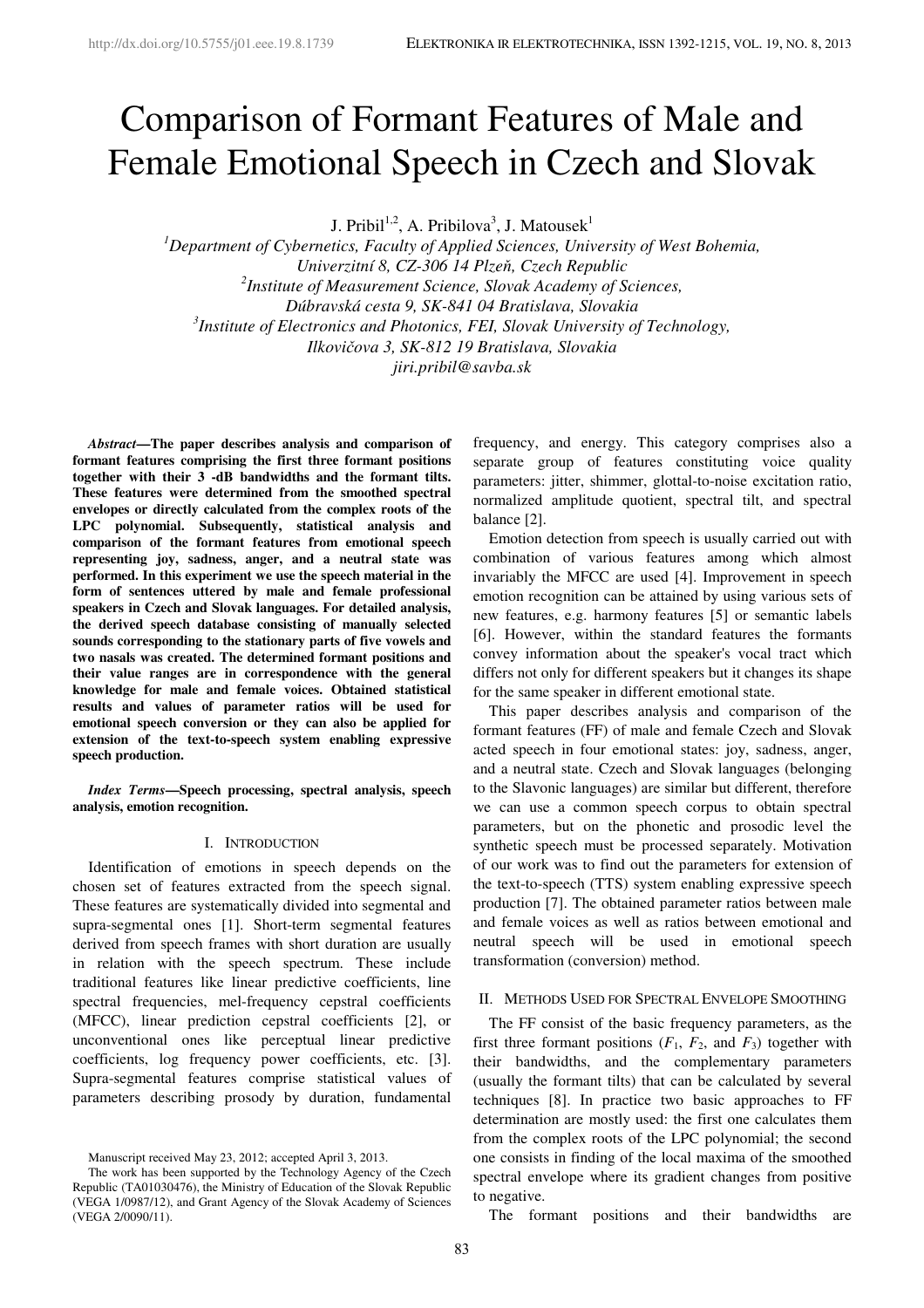# Comparison of Formant Features of Male and Female Emotional Speech in Czech and Slovak

J. Pribil<sup>1,2</sup>, A. Pribilova<sup>3</sup>, J. Matousek<sup>1</sup>

*<sup>1</sup>Department of Cybernetics, Faculty of Applied Sciences, University of West Bohemia, Univerzitní 8, CZ-306 14 Plzeň, Czech Republic 2 Institute of Measurement Science, Slovak Academy of Sciences, Dúbravská cesta 9, SK-841 04 Bratislava, Slovakia 3 Institute of Electronics and Photonics, FEI, Slovak University of Technology, Ilkovičova 3, SK-812 19 Bratislava, Slovakia jiri.pribil@savba.sk* 

*Abstract***—The paper describes analysis and comparison of formant features comprising the first three formant positions together with their 3 -dB bandwidths and the formant tilts. These features were determined from the smoothed spectral envelopes or directly calculated from the complex roots of the LPC polynomial. Subsequently, statistical analysis and comparison of the formant features from emotional speech representing joy, sadness, anger, and a neutral state was performed. In this experiment we use the speech material in the form of sentences uttered by male and female professional speakers in Czech and Slovak languages. For detailed analysis, the derived speech database consisting of manually selected sounds corresponding to the stationary parts of five vowels and two nasals was created. The determined formant positions and their value ranges are in correspondence with the general knowledge for male and female voices. Obtained statistical results and values of parameter ratios will be used for emotional speech conversion or they can also be applied for extension of the text-to-speech system enabling expressive speech production.** 

*Index Terms***—Speech processing, spectral analysis, speech analysis, emotion recognition.** 

## I. INTRODUCTION

Identification of emotions in speech depends on the chosen set of features extracted from the speech signal. These features are systematically divided into segmental and supra-segmental ones [1]. Short-term segmental features derived from speech frames with short duration are usually in relation with the speech spectrum. These include traditional features like linear predictive coefficients, line spectral frequencies, mel-frequency cepstral coefficients (MFCC), linear prediction cepstral coefficients [2], or unconventional ones like perceptual linear predictive coefficients, log frequency power coefficients, etc. [3]. Supra-segmental features comprise statistical values of parameters describing prosody by duration, fundamental

Manuscript received May 23, 2012; accepted April 3, 2013.

The work has been supported by the Technology Agency of the Czech Republic (TA01030476), the Ministry of Education of the Slovak Republic (VEGA 1/0987/12), and Grant Agency of the Slovak Academy of Sciences (VEGA 2/0090/11).

frequency, and energy. This category comprises also a separate group of features constituting voice quality parameters: jitter, shimmer, glottal-to-noise excitation ratio, normalized amplitude quotient, spectral tilt, and spectral balance [2].

Emotion detection from speech is usually carried out with combination of various features among which almost invariably the MFCC are used [4]. Improvement in speech emotion recognition can be attained by using various sets of new features, e.g. harmony features [5] or semantic labels [6]. However, within the standard features the formants convey information about the speaker's vocal tract which differs not only for different speakers but it changes its shape for the same speaker in different emotional state.

This paper describes analysis and comparison of the formant features (FF) of male and female Czech and Slovak acted speech in four emotional states: joy, sadness, anger, and a neutral state. Czech and Slovak languages (belonging to the Slavonic languages) are similar but different, therefore we can use a common speech corpus to obtain spectral parameters, but on the phonetic and prosodic level the synthetic speech must be processed separately. Motivation of our work was to find out the parameters for extension of the text-to-speech (TTS) system enabling expressive speech production [7]. The obtained parameter ratios between male and female voices as well as ratios between emotional and neutral speech will be used in emotional speech transformation (conversion) method.

# II. METHODS USED FOR SPECTRAL ENVELOPE SMOOTHING

The FF consist of the basic frequency parameters, as the first three formant positions  $(F_1, F_2,$  and  $F_3)$  together with their bandwidths, and the complementary parameters (usually the formant tilts) that can be calculated by several techniques [8]. In practice two basic approaches to FF determination are mostly used: the first one calculates them from the complex roots of the LPC polynomial; the second one consists in finding of the local maxima of the smoothed spectral envelope where its gradient changes from positive to negative.

The formant positions and their bandwidths are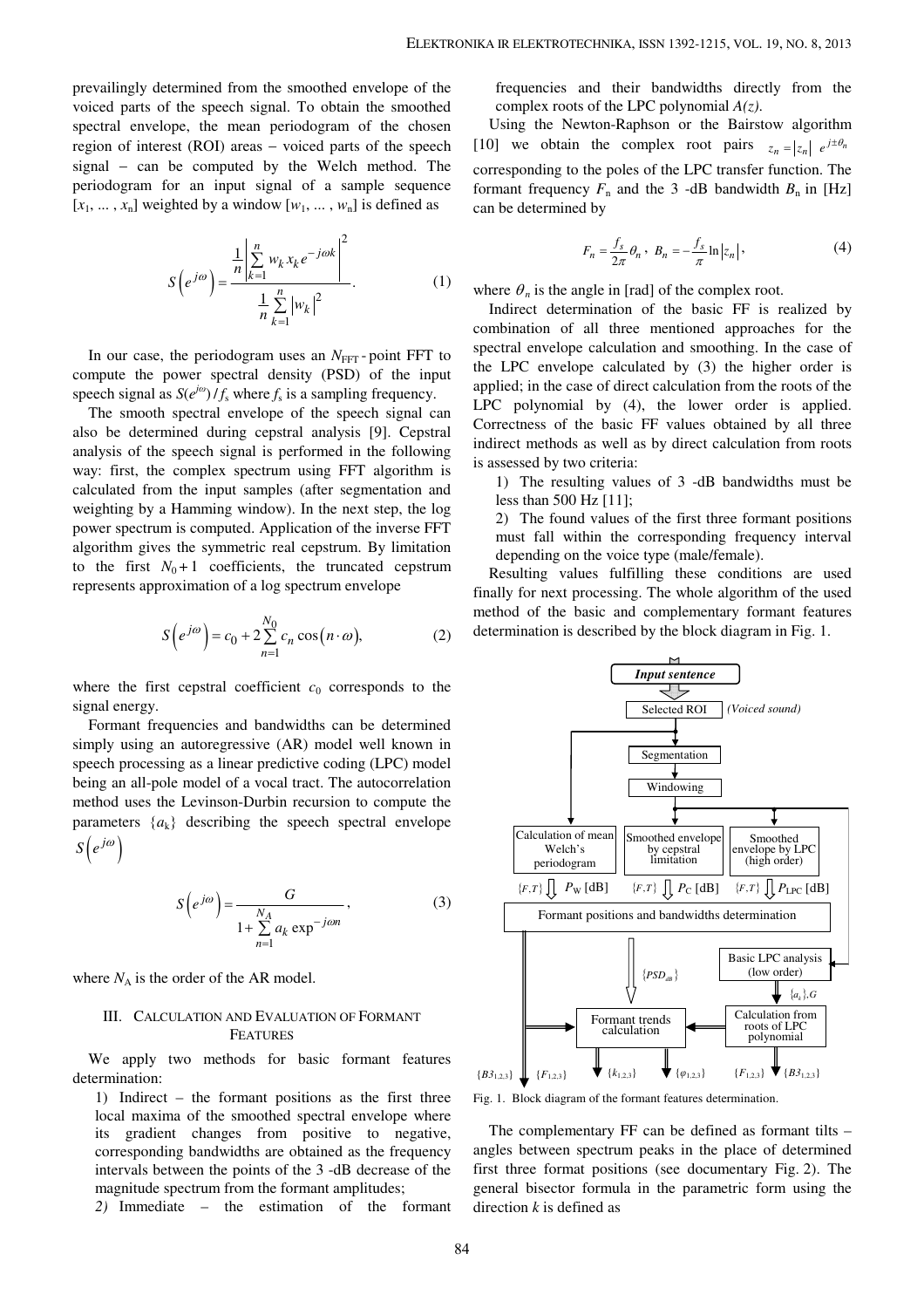prevailingly determined from the smoothed envelope of the voiced parts of the speech signal. To obtain the smoothed spectral envelope, the mean periodogram of the chosen region of interest (ROI) areas − voiced parts of the speech signal – can be computed by the Welch method. The periodogram for an input signal of a sample sequence  $[x_1, \ldots, x_n]$  weighted by a window  $[w_1, \ldots, w_n]$  is defined as

$$
S(e^{j\omega}) = \frac{\frac{1}{n} \left| \sum_{k=1}^{n} w_k x_k e^{-j\omega k} \right|^2}{\frac{1}{n} \sum_{k=1}^{n} |w_k|^2}.
$$
 (1)

In our case, the periodogram uses an  $N<sub>FFT</sub>$ -point FFT to compute the power spectral density (PSD) of the input speech signal as  $S(e^{j\omega})/f_s$  where  $f_s$  is a sampling frequency.

The smooth spectral envelope of the speech signal can also be determined during cepstral analysis [9]. Cepstral analysis of the speech signal is performed in the following way: first, the complex spectrum using FFT algorithm is calculated from the input samples (after segmentation and weighting by a Hamming window). In the next step, the log power spectrum is computed. Application of the inverse FFT algorithm gives the symmetric real cepstrum. By limitation to the first  $N_0 + 1$  coefficients, the truncated cepstrum represents approximation of a log spectrum envelope

$$
S\left(e^{j\omega}\right) = c_0 + 2\sum_{n=1}^{N_0} c_n \cos\left(n \cdot \omega\right),\tag{2}
$$

where the first cepstral coefficient  $c_0$  corresponds to the signal energy.

Formant frequencies and bandwidths can be determined simply using an autoregressive (AR) model well known in speech processing as a linear predictive coding (LPC) model being an all-pole model of a vocal tract. The autocorrelation method uses the Levinson-Durbin recursion to compute the parameters  $\{a_k\}$  describing the speech spectral envelope  $S\left(e^{j\omega}\right)$ 

$$
S\left(e^{j\omega}\right) = \frac{G}{1 + \sum_{n=1}^{N_A} a_k \exp^{-j\omega n}},
$$
\n(3)

where  $N_A$  is the order of the AR model.

# III. CALCULATION AND EVALUATION OF FORMANT FEATURES

We apply two methods for basic formant features determination:

1) Indirect – the formant positions as the first three local maxima of the smoothed spectral envelope where its gradient changes from positive to negative, corresponding bandwidths are obtained as the frequency intervals between the points of the 3 -dB decrease of the magnitude spectrum from the formant amplitudes;

*2)* Immediate – the estimation of the formant

frequencies and their bandwidths directly from the complex roots of the LPC polynomial *A(z)*.

Using the Newton-Raphson or the Bairstow algorithm [10] we obtain the complex root pairs  $z_n = |z_n| e^{j \pm \theta_n}$ corresponding to the poles of the LPC transfer function. The formant frequency  $F_n$  and the 3 -dB bandwidth  $B_n$  in [Hz] can be determined by

$$
F_n = \frac{f_s}{2\pi} \theta_n, \quad B_n = -\frac{f_s}{\pi} \ln |z_n| \,, \tag{4}
$$

where  $\theta_n$  is the angle in [rad] of the complex root.

Indirect determination of the basic FF is realized by combination of all three mentioned approaches for the spectral envelope calculation and smoothing. In the case of the LPC envelope calculated by (3) the higher order is applied; in the case of direct calculation from the roots of the LPC polynomial by (4), the lower order is applied. Correctness of the basic FF values obtained by all three indirect methods as well as by direct calculation from roots is assessed by two criteria:

1) The resulting values of 3 -dB bandwidths must be less than 500 Hz [11];

2) The found values of the first three formant positions must fall within the corresponding frequency interval depending on the voice type (male/female).

Resulting values fulfilling these conditions are used finally for next processing. The whole algorithm of the used method of the basic and complementary formant features determination is described by the block diagram in Fig. 1.



Fig. 1. Block diagram of the formant features determination.

The complementary FF can be defined as formant tilts – angles between spectrum peaks in the place of determined first three format positions (see documentary Fig. 2). The general bisector formula in the parametric form using the direction *k* is defined as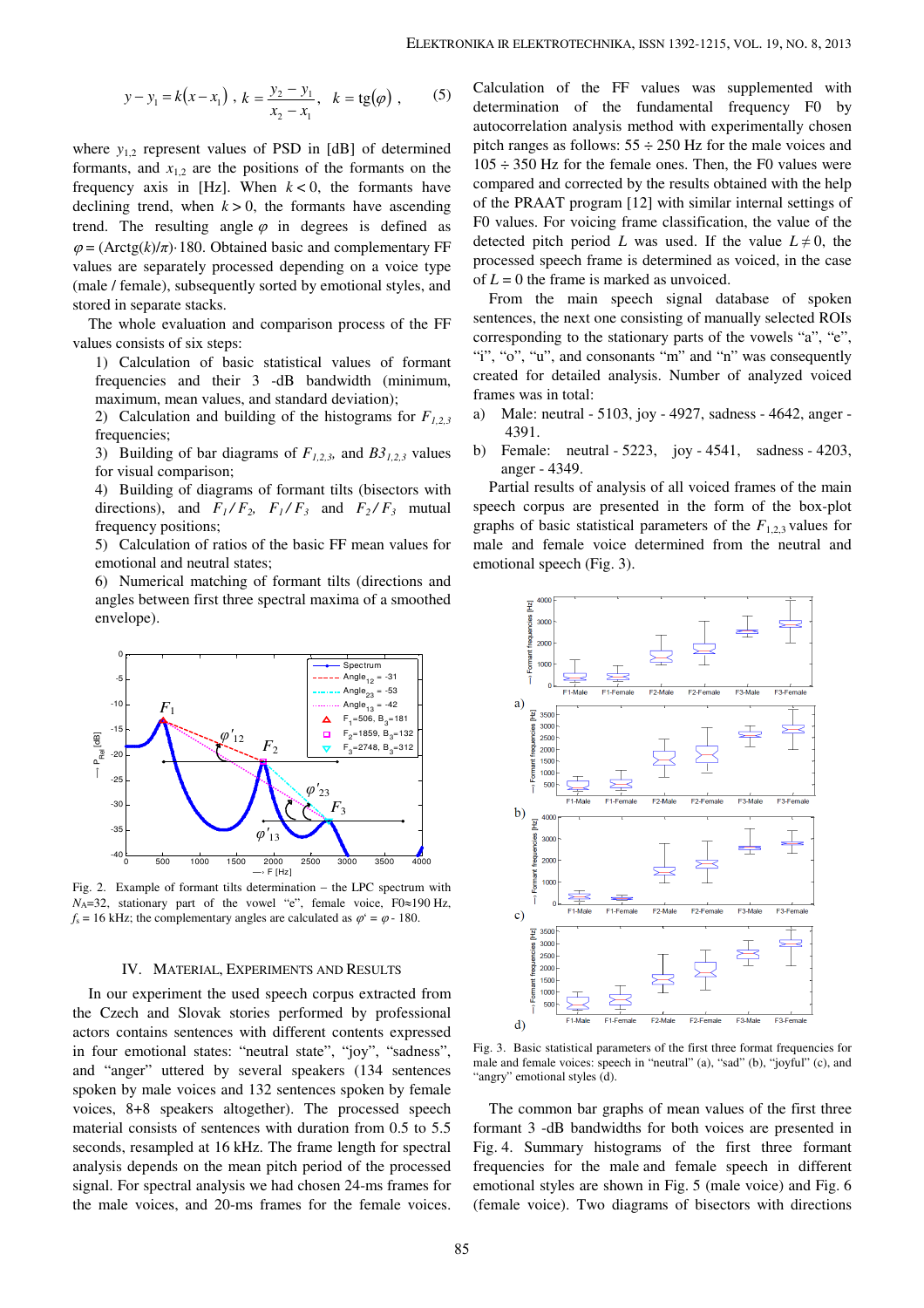$$
y-y_1 = k(x-x_1)
$$
,  $k = \frac{y_2 - y_1}{x_2 - x_1}$ ,  $k = tg(\varphi)$ , (5)

where  $y_{1,2}$  represent values of PSD in [dB] of determined formants, and  $x_{1,2}$  are the positions of the formants on the frequency axis in [Hz]. When  $k < 0$ , the formants have declining trend, when  $k > 0$ , the formants have ascending trend. The resulting angle  $\varphi$  in degrees is defined as  $\varphi = (Arctg(k)/\pi)$  180. Obtained basic and complementary FF values are separately processed depending on a voice type (male / female), subsequently sorted by emotional styles, and stored in separate stacks.

The whole evaluation and comparison process of the FF values consists of six steps:

1) Calculation of basic statistical values of formant frequencies and their 3 -dB bandwidth (minimum, maximum, mean values, and standard deviation);

2) Calculation and building of the histograms for  $F_{1,2,3}$ frequencies;

3) Building of bar diagrams of  $F_{1,2,3}$ , and  $B3_{1,2,3}$  values for visual comparison;

4) Building of diagrams of formant tilts (bisectors with directions), and  $F_1/F_2$ ,  $F_1/F_3$  and  $F_2/F_3$  mutual frequency positions;

5) Calculation of ratios of the basic FF mean values for emotional and neutral states;

6) Numerical matching of formant tilts (directions and angles between first three spectral maxima of a smoothed envelope).



Fig. 2. Example of formant tilts determination − the LPC spectrum with *N*<sub>A</sub>=32, stationary part of the vowel "e", female voice, F0≈190 Hz,  $f_s = 16$  kHz; the complementary angles are calculated as  $\varphi^2 = \varphi - 180$ .

## IV. MATERIAL, EXPERIMENTS AND RESULTS

In our experiment the used speech corpus extracted from the Czech and Slovak stories performed by professional actors contains sentences with different contents expressed in four emotional states: "neutral state", "joy", "sadness", and "anger" uttered by several speakers (134 sentences spoken by male voices and 132 sentences spoken by female voices, 8+8 speakers altogether). The processed speech material consists of sentences with duration from 0.5 to 5.5 seconds, resampled at 16 kHz. The frame length for spectral analysis depends on the mean pitch period of the processed signal. For spectral analysis we had chosen 24-ms frames for the male voices, and 20-ms frames for the female voices.

Calculation of the FF values was supplemented with determination of the fundamental frequency F0 by autocorrelation analysis method with experimentally chosen pitch ranges as follows:  $55 \div 250$  Hz for the male voices and  $105 \div 350$  Hz for the female ones. Then, the F0 values were compared and corrected by the results obtained with the help of the PRAAT program [12] with similar internal settings of F0 values. For voicing frame classification, the value of the detected pitch period *L* was used. If the value  $L \neq 0$ , the processed speech frame is determined as voiced, in the case of  $L = 0$  the frame is marked as unvoiced.

From the main speech signal database of spoken sentences, the next one consisting of manually selected ROIs corresponding to the stationary parts of the vowels "a", "e", "i", "o", "u", and consonants "m" and "n" was consequently created for detailed analysis. Number of analyzed voiced frames was in total:

- a) Male: neutral 5103, joy 4927, sadness 4642, anger 4391.
- b) Female: neutral 5223, joy 4541, sadness 4203, anger - 4349.

Partial results of analysis of all voiced frames of the main speech corpus are presented in the form of the box-plot graphs of basic statistical parameters of the  $F_{1,2,3}$  values for male and female voice determined from the neutral and emotional speech (Fig. 3).



Fig. 3. Basic statistical parameters of the first three format frequencies for male and female voices: speech in "neutral" (a), "sad" (b), "joyful" (c), and "angry" emotional styles (d).

The common bar graphs of mean values of the first three formant 3 -dB bandwidths for both voices are presented in Fig. 4. Summary histograms of the first three formant frequencies for the male and female speech in different emotional styles are shown in Fig. 5 (male voice) and Fig. 6 (female voice). Two diagrams of bisectors with directions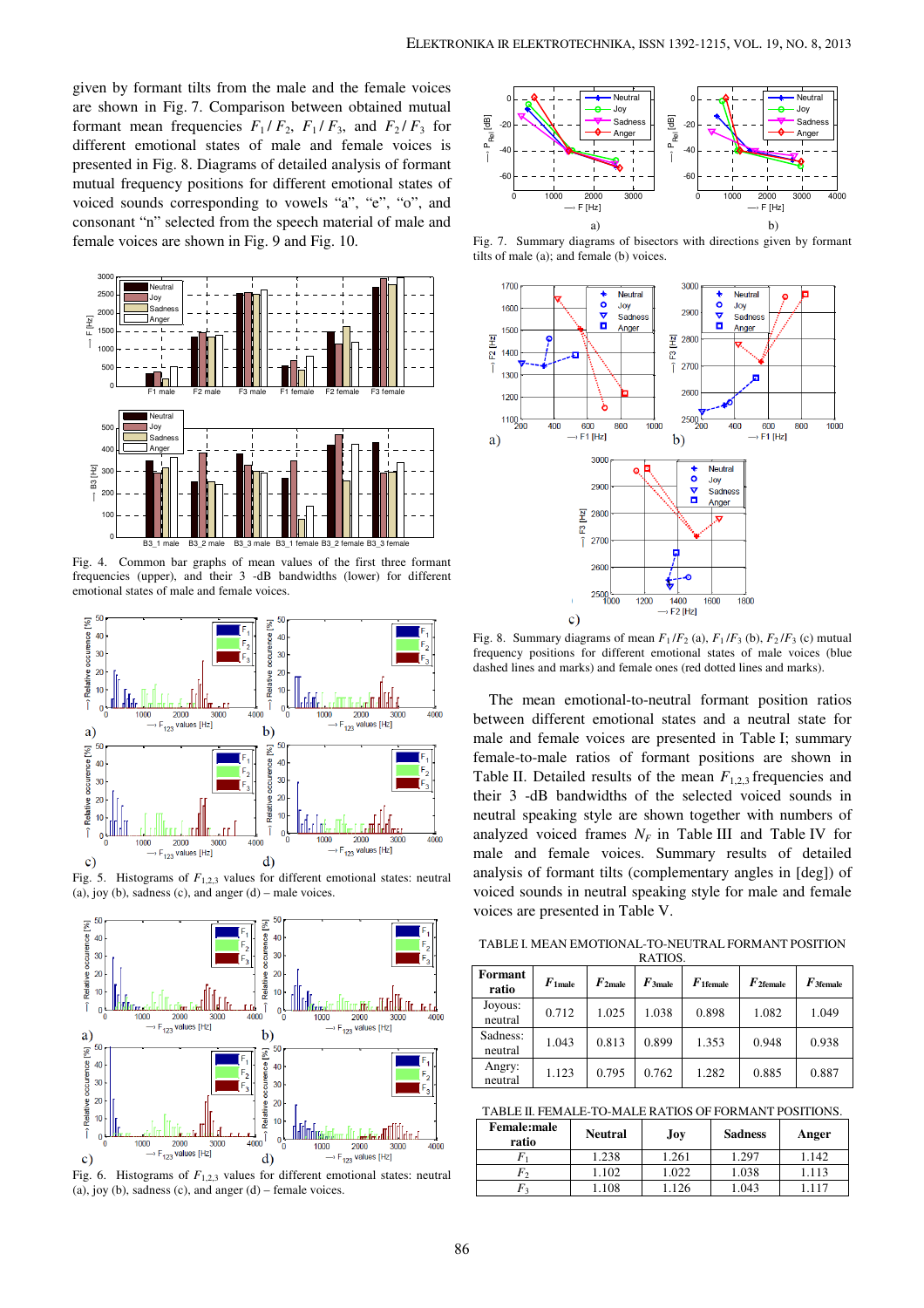given by formant tilts from the male and the female voices are shown in Fig. 7. Comparison between obtained mutual formant mean frequencies  $F_1 / F_2$ ,  $F_1 / F_3$ , and  $F_2 / F_3$  for different emotional states of male and female voices is presented in Fig. 8. Diagrams of detailed analysis of formant mutual frequency positions for different emotional states of voiced sounds corresponding to vowels "a", "e", "o", and consonant "n" selected from the speech material of male and female voices are shown in Fig. 9 and Fig. 10.



Fig. 4. Common bar graphs of mean values of the first three formant frequencies (upper), and their 3 -dB bandwidths (lower) for different emotional states of male and female voices.



Fig. 5. Histograms of  $F_{1,2,3}$  values for different emotional states: neutral  $(a)$ , joy  $(b)$ , sadness  $(c)$ , and anger  $(d)$  – male voices.



Fig. 6. Histograms of *F*1,2,3 values for different emotional states: neutral (a), joy (b), sadness (c), and anger  $(d)$  – female voices.



Fig. 7. Summary diagrams of bisectors with directions given by formant tilts of male (a); and female (b) voices.



Fig. 8. Summary diagrams of mean  $F_1/F_2$  (a),  $F_1/F_3$  (b),  $F_2/F_3$  (c) mutual frequency positions for different emotional states of male voices (blue dashed lines and marks) and female ones (red dotted lines and marks).

The mean emotional-to-neutral formant position ratios between different emotional states and a neutral state for male and female voices are presented in Table I; summary female-to-male ratios of formant positions are shown in Table II. Detailed results of the mean  $F_{1,2,3}$  frequencies and their 3 -dB bandwidths of the selected voiced sounds in neutral speaking style are shown together with numbers of analyzed voiced frames  $N_F$  in Table III and Table IV for male and female voices. Summary results of detailed analysis of formant tilts (complementary angles in [deg]) of voiced sounds in neutral speaking style for male and female voices are presented in Table V.

TABLE I. MEAN EMOTIONAL-TO-NEUTRAL FORMANT POSITION **DATIOS** 

| Formant<br>ratio    | $F_{1}$ male | $F_{2male}$ | $F_{\rm 3 male}$ | $F$ 1 female | $F_{2$ female | $F$ 3female |
|---------------------|--------------|-------------|------------------|--------------|---------------|-------------|
| Joyous:<br>neutral  | 0.712        | 1.025       | 1.038            | 0.898        | 1.082         | 1.049       |
| Sadness:<br>neutral | 1.043        | 0.813       | 0.899            | 1.353        | 0.948         | 0.938       |
| Angry:<br>neutral   | 1.123        | 0.795       | 0.762            | 1.282        | 0.885         | 0.887       |

TABLE II. FEMALE-TO-MALE RATIOS OF FORMANT POSITIONS.

| <b>Female:male</b><br>ratio | <b>Neutral</b> | Joy   | <b>Sadness</b> | Anger |
|-----------------------------|----------------|-------|----------------|-------|
|                             | .238           | 1.261 | 1.297          | 1.142 |
|                             | .102           | .022  | 1.038          | .113  |
| 72                          | 108            | 126   | .043           |       |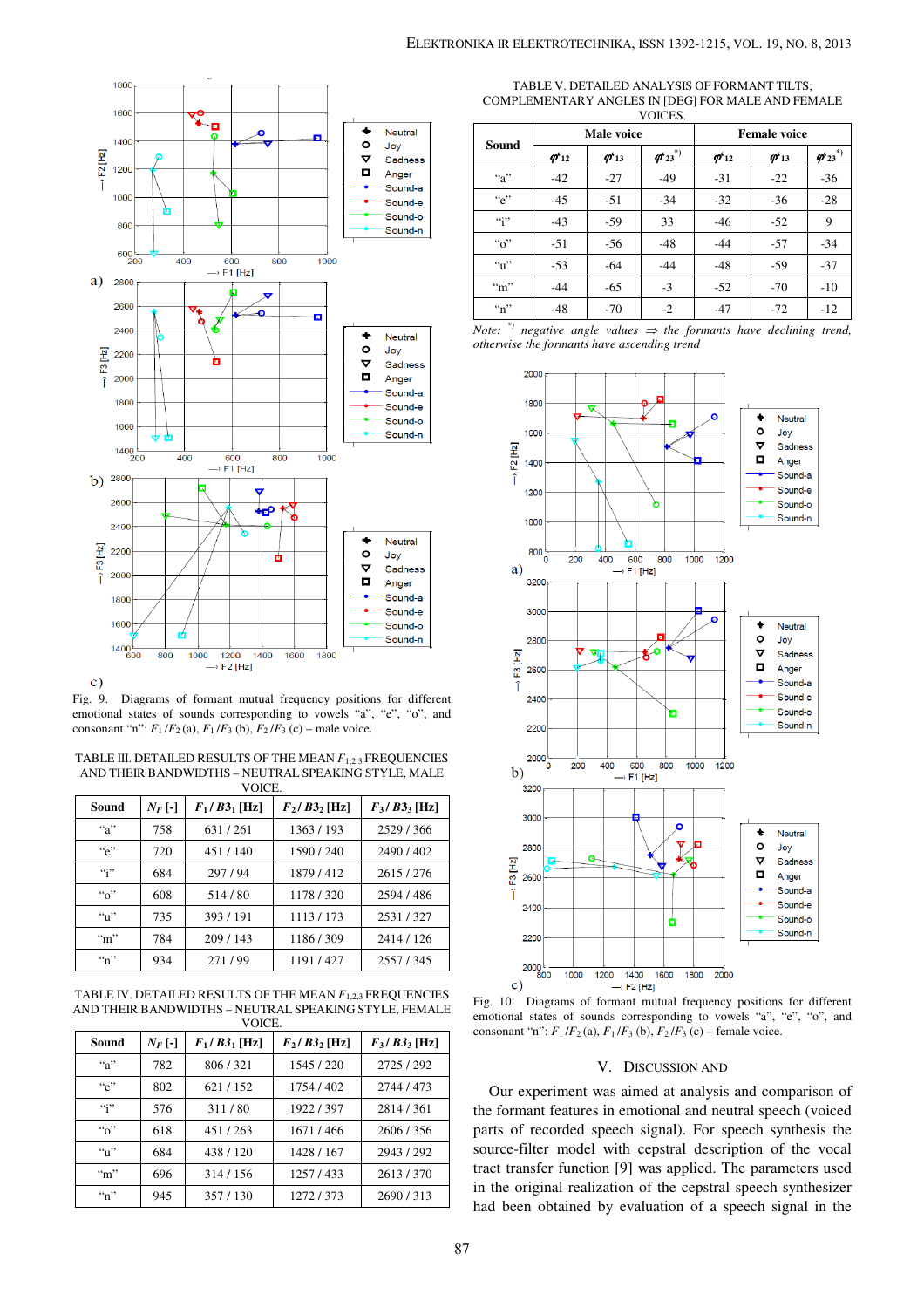



 $\mathbf{c})$ 

Fig. 9. Diagrams of formant mutual frequency positions for different emotional states of sounds corresponding to vowels "a", "e", "o", and consonant "n":  $F_1/F_2$  (a),  $F_1/F_3$  (b),  $F_2/F_3$  (c) – male voice.

TABLE III. DETAILED RESULTS OF THE MEAN *F*1,2,3 FREQUENCIES AND THEIR BANDWIDTHS – NEUTRAL SPEAKING STYLE, MALE **VOICE** 

|                          | Sound             | $N_F$ [-]                             | $F_1/B3_1$ [Hz] | $F_2/B3_2$ [Hz] | $F_3/B3_3$ [Hz] |  |  |
|--------------------------|-------------------|---------------------------------------|-----------------|-----------------|-----------------|--|--|
|                          | ``a"<br>758       |                                       | 631/261         | 1363/193        | 2529/366        |  |  |
|                          | ``e"              | 720<br>451/140<br>``<br>297/94<br>684 |                 | 1590/240        | 2490/402        |  |  |
|                          |                   |                                       |                 | 1879/412        | 2615/276        |  |  |
|                          | $``\circ"$        | 608                                   | 514/80          | 1178/320        | 2594/486        |  |  |
|                          | $\mathbf{a}_1$    | 735                                   | 393/191         | 1113/173        | 2531/327        |  |  |
| $\cdot\cdot\cdot$<br>784 |                   | 209/143                               | 1186/309        | 2414 / 126      |                 |  |  |
|                          | $\cdot \cdot n$ " | 934                                   | 271/99          | 1191/427        | 2557/345        |  |  |

TABLE IV. DETAILED RESULTS OF THE MEAN *F*1,2,3 FREQUENCIES AND THEIR BANDWIDTHS – NEUTRAL SPEAKING STYLE, FEMALE **VOICE** 

|                     | , , , , , , ,  |                 |                 |                 |  |  |  |
|---------------------|----------------|-----------------|-----------------|-----------------|--|--|--|
| Sound<br>$N_F$ [-]  |                | $F_1/B3_1$ [Hz] | $F_2/B3_2$ [Hz] | $F_3/B3_3$ [Hz] |  |  |  |
| ``a"                | 782            | 806/321         | 1545/220        | 2725/292        |  |  |  |
| ``e"                | 802<br>621/152 |                 | 1754/402        | 2744 / 473      |  |  |  |
| $\cdot \cdot \cdot$ | 576            | 311/80          | 1922/397        | 2814/361        |  |  |  |
| $``\alpha"$         | 618            | 451/263         | 1671/466        | 2606/356        |  |  |  |
| `` <sub>1</sub> ''  | 684            | 438/120         | 1428 / 167      | 2943/292        |  |  |  |
| $\cdot\cdot\cdot$   | 696            | 314/156         | 1257/433        | 2613/370        |  |  |  |
| $\cdot \cdot n$ "   | 945            | 357/130         | 1272/373        | 2690/313        |  |  |  |

TABLE V. DETAILED ANALYSIS OF FORMANT TILTS; COMPLEMENTARY ANGLES IN [DEG] FOR MALE AND FEMALE

| VOICES.           |                            |                             |               |                            |                             |                                                                             |  |
|-------------------|----------------------------|-----------------------------|---------------|----------------------------|-----------------------------|-----------------------------------------------------------------------------|--|
|                   |                            | Male voice                  |               | <b>Female voice</b>        |                             |                                                                             |  |
| Sound             | $\boldsymbol{\varphi}'$ 12 | $\boldsymbol{\varphi}_{13}$ | $\phi_{23}^*$ | $\boldsymbol{\varphi}'$ 12 | $\boldsymbol{\varphi}_{13}$ | $\boldsymbol{\varphi}^{\boldsymbol{\epsilon}}$ <sub>23</sub> <sup>*</sup> ) |  |
| ``a"              | $-42$                      | $-27$                       | $-49$         | $-31$                      | $-22$                       | $-36$                                                                       |  |
| ``e"              | $-45$                      | $-51$                       | $-34$         | $-32$                      | $-36$                       | $-28$                                                                       |  |
| 432               | $-43$                      | $-59$                       | 33            | $-46$                      | $-52$                       | 9                                                                           |  |
| ``o"              | $-51$                      | -56                         | $-48$         | $-44$                      | $-57$                       | $-34$                                                                       |  |
| ``u"              | $-53$                      | $-64$                       | $-44$         | $-48$                      | $-59$                       | $-37$                                                                       |  |
| $\cdot \cdot m$ " | $-44$                      | $-65$                       | $-3$          | $-52$                      | $-70$                       | $-10$                                                                       |  |
| $\cdot \cdot n$ " | $-48$                      | $-70$                       | $-2$          | $-47$                      | $-72$                       | $-12$                                                                       |  |

*Note:*<sup>\*</sup> $)$  negative angle values  $\Rightarrow$  the formants have declining trend, *otherwise the formants have ascending trend* 



Fig. 10. Diagrams of formant mutual frequency positions for different emotional states of sounds corresponding to vowels "a", "e", "o", and consonant "n":  $F_1/F_2$  (a),  $F_1/F_3$  (b),  $F_2/F_3$  (c) – female voice.

## V. DISCUSSION AND

Our experiment was aimed at analysis and comparison of the formant features in emotional and neutral speech (voiced parts of recorded speech signal). For speech synthesis the source-filter model with cepstral description of the vocal tract transfer function [9] was applied. The parameters used in the original realization of the cepstral speech synthesizer had been obtained by evaluation of a speech signal in the